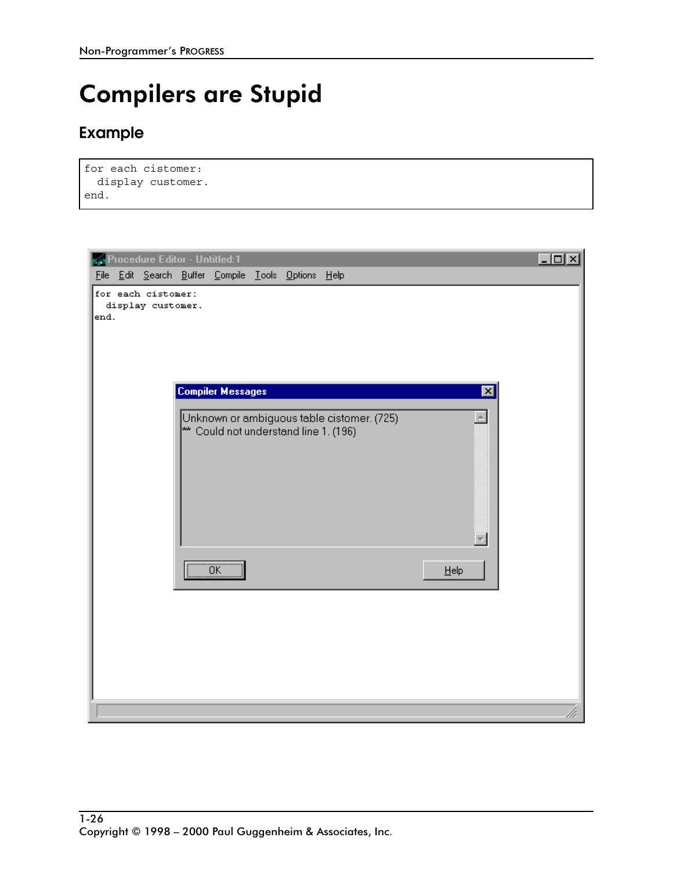## **Compilers are Stupid**

## **Example**

```
for each cistomer:
  display customer.
end.
```